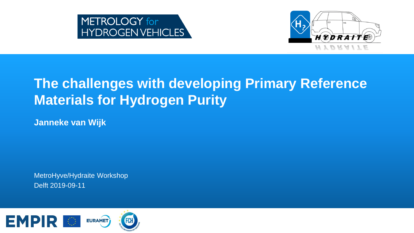



## **The challenges with developing Primary Reference Materials for Hydrogen Purity**

**Janneke van Wijk**

MetroHyve/Hydraite Workshop Delft 2019-09-11

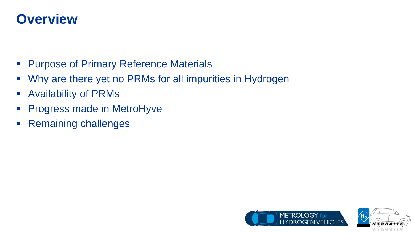### **Overview**

- **Purpose of Primary Reference Materials**
- Why are there yet no PRMs for all impurities in Hydrogen
- Availability of PRMs
- **Progress made in MetroHyve**
- **Remaining challenges**



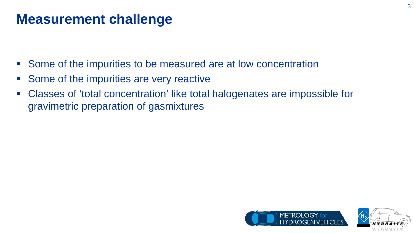### **Measurement challenge**

- Some of the impurities to be measured are at low concentration
- Some of the impurities are very reactive
- Classes of 'total concentration' like total halogenates are impossible for gravimetric preparation of gasmixtures



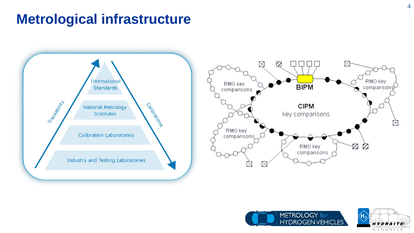### **Metrological infrastructure**





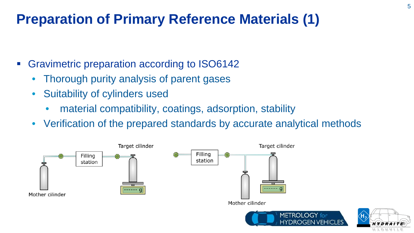## **Preparation of Primary Reference Materials (1)**

- Gravimetric preparation according to ISO6142
	- Thorough purity analysis of parent gases
	- Suitability of cylinders used
		- material compatibility, coatings, adsorption, stability
	- Verification of the prepared standards by accurate analytical methods



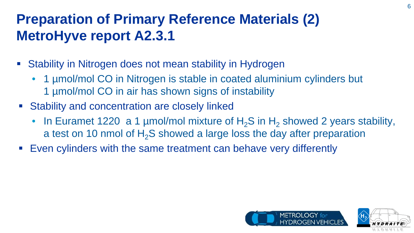## **Preparation of Primary Reference Materials (2) MetroHyve report A2.3.1**

- Stability in Nitrogen does not mean stability in Hydrogen
	- 1 µmol/mol CO in Nitrogen is stable in coated aluminium cylinders but 1 µmol/mol CO in air has shown signs of instability
- **Stability and concentration are closely linked** 
	- In Euramet 1220 a 1 µmol/mol mixture of  $H_2S$  in  $H_2$  showed 2 years stability, a test on 10 nmol of  $H_2S$  showed a large loss the day after preparation
- Even cylinders with the same treatment can behave very differently



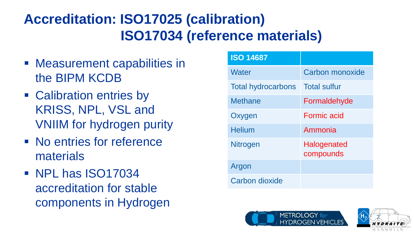## **Accreditation: ISO17025 (calibration) ISO17034 (reference materials)**

- Measurement capabilities in the BIPM KCDB
- Calibration entries by KRISS, NPL, VSL and VNIIM for hydrogen purity
- No entries for reference materials
- **NPL has ISO17034** accreditation for stable components in Hydrogen

| <b>ISO 14687</b>          |                          |
|---------------------------|--------------------------|
| Water                     | Carbon monoxide          |
| <b>Total hydrocarbons</b> | <b>Total sulfur</b>      |
| <b>Methane</b>            | Formaldehyde             |
| Oxygen                    | Formic acid              |
| <b>Helium</b>             | Ammonia                  |
| Nitrogen                  | Halogenated<br>compounds |
| Argon                     |                          |
| Carbon dioxide            |                          |



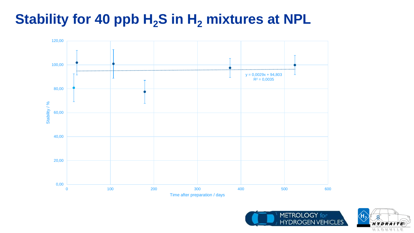## **Stability for 40 ppb H<sub>2</sub>S in H<sub>2</sub> mixtures at NPL**





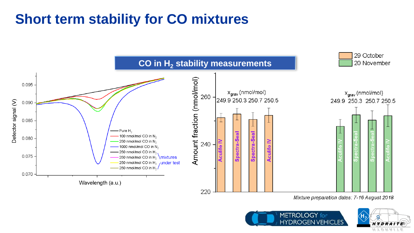## **Short term stability for CO mixtures**



Mixture preparation dates: 7-16 August 2018



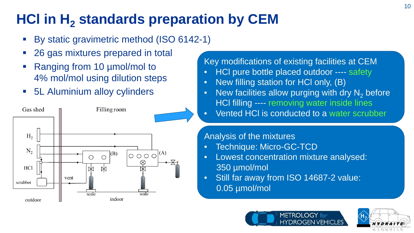## **HCl in H<sub>2</sub> standards preparation by CEM**

- By static gravimetric method (ISO 6142-1)
- 26 gas mixtures prepared in total
- Ranging from 10 µmol/mol to 4% mol/mol using dilution steps
- 5L Aluminium alloy cylinders



#### Key modifications of existing facilities at CEM

- HCl pure bottle placed outdoor ---- safety
- New filling station for HCl only, (B)
- New facilities allow purging with dry  $N<sub>2</sub>$  before HCl filling ---- removing water inside lines
- Vented HCl is conducted to a water scrubber

#### Analysis of the mixtures

- Technique: Micro-GC-TCD
- Lowest concentration mixture analysed: 350 µmol/mol
- Still far away from ISO 14687-2 value: 0.05 µmol/mol



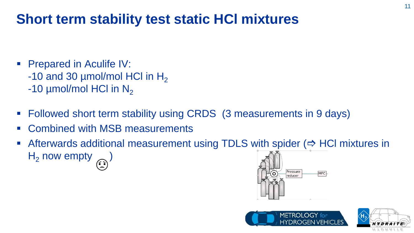## **Short term stability test static HCl mixtures**

- Prepared in Aculife IV:
	- -10 and 30  $\mu$ mol/mol HCl in H<sub>2</sub>
	- -10  $\mu$ mol/mol HCl in N<sub>2</sub>
- Followed short term stability using CRDS (3 measurements in 9 days)
- Combined with MSB measurements
- Afterwards additional measurement using TDLS with spider  $(\Rightarrow$  HCI mixtures in  $H_2$  now empty  $\widehat{H_2}$





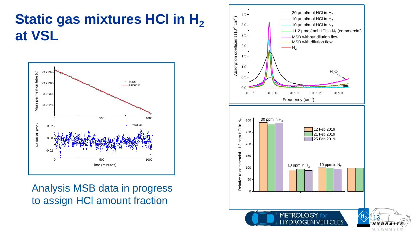## **Static gas mixtures HCI in H<sub>2</sub> at VSL**



Analysis MSB data in progress to assign HCl amount fraction

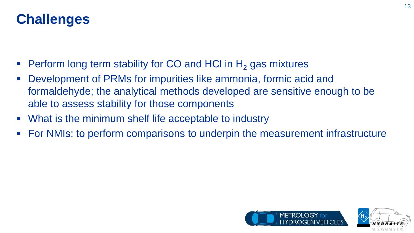### **Challenges**

- Perform long term stability for CO and HCI in  $H<sub>2</sub>$  gas mixtures
- Development of PRMs for impurities like ammonia, formic acid and formaldehyde; the analytical methods developed are sensitive enough to be able to assess stability for those components
- What is the minimum shelf life acceptable to industry
- For NMIs: to perform comparisons to underpin the measurement infrastructure